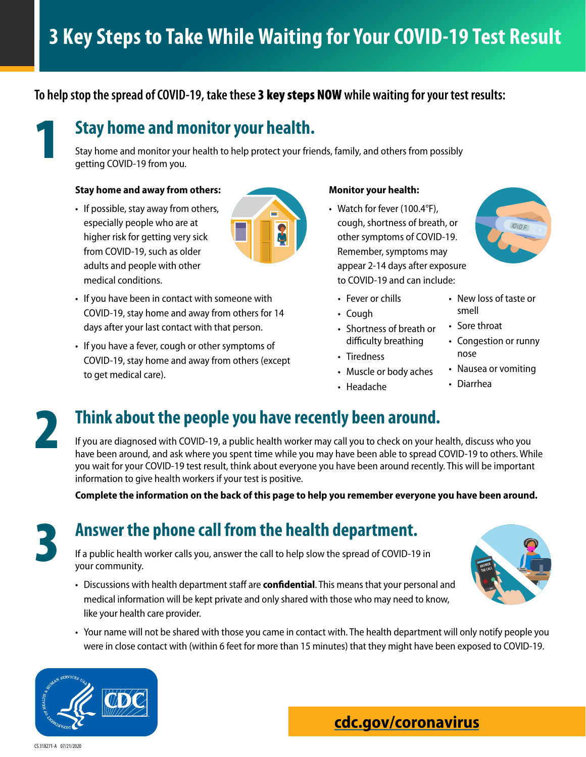### **To help stop the spread of COVID-19, take these** 3 key steps NOW **while waiting for your test results:**



## 1 **Stay home and monitor your health.**

Stay home and monitor your health to help protect your friends, family, and others from possibly getting COVID-19 from you.

#### **Stay home and away from others:**

• If possible, stay away from others, especially people who are at higher risk for getting very sick from COVID-19, such as older adults and people with other medical conditions.



- If you have been in contact with someone with COVID-19, stay home and away from others for 14 days after your last contact with that person.
- If you have a fever, cough or other symptoms of COVID-19, stay home and away from others (except to get medical care).

#### **Monitor your health:**

• Watch for fever (100.4°F), cough, shortness of breath, or other symptoms of COVID-19. Remember, symptoms may appear 2-14 days after exposure to COVID-19 and can include:



- Cough
- Shortness of breath or difficulty breathing
- Tiredness
- Muscle or body aches
- Headache

• New loss of taste or smell

 $1010F$ 

- Sore throat
- Congestion or runny nose
- Nausea or vomiting
- Diarrhea

# 2 **Think about the people you have recently been around.**

If you are diagnosed with COVID-19, a public health worker may call you to check on your health, discuss who you have been around, and ask where you spent time while you may have been able to spread COVID-19 to others. While you wait for your COVID-19 test result, think about everyone you have been around recently. This will be important information to give health workers if your test is positive.

**Complete the information on the back of this page to help you remember everyone you have been around.** 

# 3 **Answer the phone call from the health department.**

If a public health worker calls you, answer the call to help slow the spread of COVID-19 in your community.

- Discussions with health department staff are **confidential**. This means that your personal and medical information will be kept private and only shared with those who may need to know, like your health care provider.
- Your name will not be shared with those you came in contact with. The health department will only notify people you were in close contact with (within 6 feet for more than 15 minutes) that they might have been exposed to COVID-19.



CS 318271-A 07/21/2020

## **[cdc.gov/coronavirus](http://www.cdc.gov/coronavirus)**